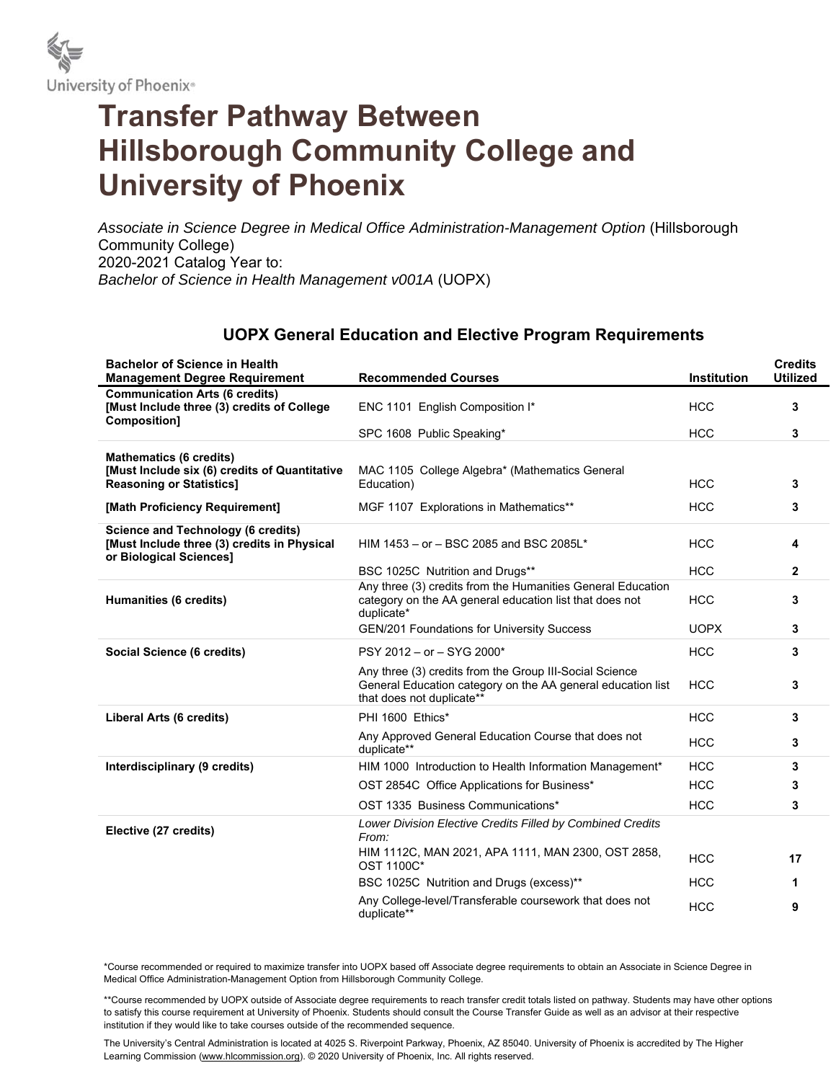

## **Transfer Pathway Between Hillsborough Community College and University of Phoenix**

*Associate in Science Degree in Medical Office Administration-Management Option* (Hillsborough Community College) 2020-2021 Catalog Year to: *Bachelor of Science in Health Management v001A* (UOPX)

## **UOPX General Education and Elective Program Requirements**

| <b>Bachelor of Science in Health</b><br><b>Management Degree Requirement</b>                                 | <b>Recommended Courses</b>                                                                                                                          | <b>Institution</b> | <b>Credits</b><br><b>Utilized</b> |
|--------------------------------------------------------------------------------------------------------------|-----------------------------------------------------------------------------------------------------------------------------------------------------|--------------------|-----------------------------------|
| <b>Communication Arts (6 credits)</b><br>[Must Include three (3) credits of College<br>Composition]          | ENC 1101 English Composition I*                                                                                                                     | <b>HCC</b>         | 3                                 |
|                                                                                                              | SPC 1608 Public Speaking*                                                                                                                           | <b>HCC</b>         | 3                                 |
| <b>Mathematics (6 credits)</b>                                                                               |                                                                                                                                                     |                    |                                   |
| [Must Include six (6) credits of Quantitative<br><b>Reasoning or Statistics1</b>                             | MAC 1105 College Algebra* (Mathematics General<br>Education)                                                                                        | <b>HCC</b>         | 3                                 |
| [Math Proficiency Requirement]                                                                               | MGF 1107 Explorations in Mathematics**                                                                                                              | <b>HCC</b>         | 3                                 |
| Science and Technology (6 credits)<br>[Must Include three (3) credits in Physical<br>or Biological Sciences] | HIM 1453 - or - BSC 2085 and BSC 2085L*                                                                                                             | <b>HCC</b>         | 4                                 |
|                                                                                                              | BSC 1025C Nutrition and Drugs**                                                                                                                     | <b>HCC</b>         | $\mathbf{2}$                      |
| Humanities (6 credits)                                                                                       | Any three (3) credits from the Humanities General Education<br>category on the AA general education list that does not<br>duplicate*                | <b>HCC</b>         | 3                                 |
|                                                                                                              | <b>GEN/201 Foundations for University Success</b>                                                                                                   | <b>UOPX</b>        | 3                                 |
| Social Science (6 credits)                                                                                   | PSY 2012 - or - SYG 2000*                                                                                                                           | <b>HCC</b>         | 3                                 |
|                                                                                                              | Any three (3) credits from the Group III-Social Science<br>General Education category on the AA general education list<br>that does not duplicate** | <b>HCC</b>         | 3                                 |
| Liberal Arts (6 credits)                                                                                     | PHI 1600 Ethics*                                                                                                                                    | <b>HCC</b>         | 3                                 |
|                                                                                                              | Any Approved General Education Course that does not<br>duplicate**                                                                                  | <b>HCC</b>         | 3                                 |
| Interdisciplinary (9 credits)                                                                                | HIM 1000 Introduction to Health Information Management*                                                                                             | <b>HCC</b>         | 3                                 |
|                                                                                                              | OST 2854C Office Applications for Business*                                                                                                         | <b>HCC</b>         | 3                                 |
|                                                                                                              | OST 1335 Business Communications*                                                                                                                   | <b>HCC</b>         | 3                                 |
| Elective (27 credits)                                                                                        | Lower Division Elective Credits Filled by Combined Credits<br>From:                                                                                 |                    |                                   |
|                                                                                                              | HIM 1112C, MAN 2021, APA 1111, MAN 2300, OST 2858,<br>OST 1100C*                                                                                    | <b>HCC</b>         | 17                                |
|                                                                                                              | BSC 1025C Nutrition and Drugs (excess)**                                                                                                            | <b>HCC</b>         | 1                                 |
|                                                                                                              | Any College-level/Transferable coursework that does not<br>duplicate**                                                                              | <b>HCC</b>         | 9                                 |

\*Course recommended or required to maximize transfer into UOPX based off Associate degree requirements to obtain an Associate in Science Degree in Medical Office Administration-Management Option from Hillsborough Community College.

\*\*Course recommended by UOPX outside of Associate degree requirements to reach transfer credit totals listed on pathway. Students may have other options to satisfy this course requirement at University of Phoenix. Students should consult the Course Transfer Guide as well as an advisor at their respective institution if they would like to take courses outside of the recommended sequence.

The University's Central Administration is located at 4025 S. Riverpoint Parkway, Phoenix, AZ 85040. University of Phoenix is accredited by The Higher Learning Commission (www.hlcommission.org). © 2020 University of Phoenix, Inc. All rights reserved.